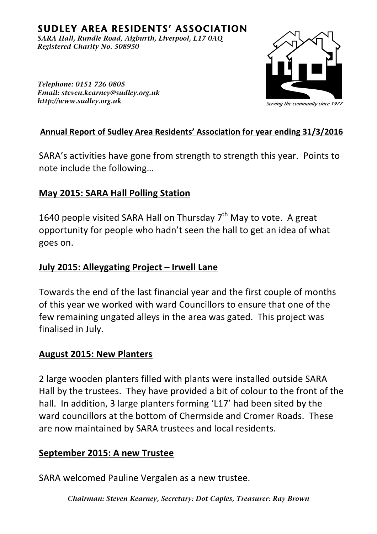# **SUDLEY AREA RESIDENTS' ASSOCIATION**

*<i>SARA Hall, Rundle Road, Aigburth, Liverpool, L17 0AQ Registered Charity No. 508950* 



*Telephone: 0151 726 0805 <i>Email: steven.kearney@sudley.org.uk Ii Litp*://www.sudley.org.uk

#### Annual Report of Sudley Area Residents' Association for year ending 31/3/2016

SARA's activities have gone from strength to strength this year. Points to note include the following...

#### **May 2015: SARA Hall Polling Station**

1640 people visited SARA Hall on Thursday  $7<sup>th</sup>$  May to vote. A great opportunity for people who hadn't seen the hall to get an idea of what goes on.

#### **July 2015: Alleygating Project – Irwell Lane**

Towards the end of the last financial year and the first couple of months of this vear we worked with ward Councillors to ensure that one of the few remaining ungated alleys in the area was gated. This project was finalised in July.

#### **August 2015: New Planters**

2 large wooden planters filled with plants were installed outside SARA Hall by the trustees. They have provided a bit of colour to the front of the hall. In addition, 3 large planters forming 'L17' had been sited by the ward councillors at the bottom of Chermside and Cromer Roads. These are now maintained by SARA trustees and local residents.

#### **September 2015: A new Trustee**

SARA welcomed Pauline Vergalen as a new trustee.

*Chairman: Steven Kearney, Secretary: Dot Caples, Treasurer: Ray Brown*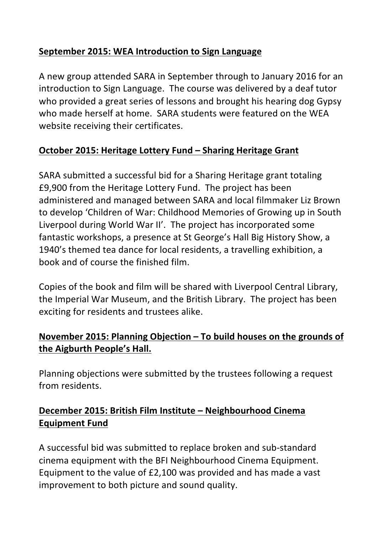# **September 2015: WEA Introduction to Sign Language**

A new group attended SARA in September through to January 2016 for an introduction to Sign Language. The course was delivered by a deaf tutor who provided a great series of lessons and brought his hearing dog Gypsy who made herself at home. SARA students were featured on the WEA website receiving their certificates.

#### **October 2015: Heritage Lottery Fund – Sharing Heritage Grant**

SARA submitted a successful bid for a Sharing Heritage grant totaling £9,900 from the Heritage Lottery Fund. The project has been administered and managed between SARA and local filmmaker Liz Brown to develop 'Children of War: Childhood Memories of Growing up in South Liverpool during World War II'. The project has incorporated some fantastic workshops, a presence at St George's Hall Big History Show, a 1940's themed tea dance for local residents, a travelling exhibition, a book and of course the finished film.

Copies of the book and film will be shared with Liverpool Central Library, the Imperial War Museum, and the British Library. The project has been exciting for residents and trustees alike.

# November 2015: Planning Objection – To build houses on the grounds of the Aigburth People's Hall.

Planning objections were submitted by the trustees following a request from residents.

# December 2015: British Film Institute - Neighbourhood Cinema **Equipment Fund**

A successful bid was submitted to replace broken and sub-standard cinema equipment with the BFI Neighbourhood Cinema Equipment. Equipment to the value of £2,100 was provided and has made a vast improvement to both picture and sound quality.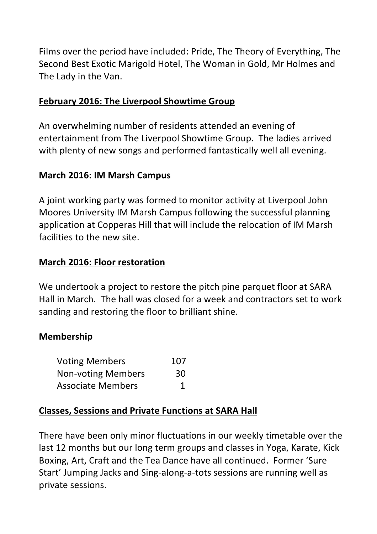Films over the period have included: Pride, The Theory of Everything, The Second Best Exotic Marigold Hotel, The Woman in Gold, Mr Holmes and The Lady in the Van.

#### **February 2016: The Liverpool Showtime Group**

An overwhelming number of residents attended an evening of entertainment from The Liverpool Showtime Group. The ladies arrived with plenty of new songs and performed fantastically well all evening.

#### **March 2016: IM Marsh Campus**

A joint working party was formed to monitor activity at Liverpool John Moores University IM Marsh Campus following the successful planning application at Copperas Hill that will include the relocation of IM Marsh facilities to the new site.

#### **March 2016: Floor restoration**

We undertook a project to restore the pitch pine parquet floor at SARA Hall in March. The hall was closed for a week and contractors set to work sanding and restoring the floor to brilliant shine.

#### **Membership**

| <b>Voting Members</b>     | 107 |
|---------------------------|-----|
| <b>Non-voting Members</b> | 30  |
| <b>Associate Members</b>  |     |

#### **Classes, Sessions and Private Functions at SARA Hall**

There have been only minor fluctuations in our weekly timetable over the last 12 months but our long term groups and classes in Yoga, Karate, Kick Boxing, Art, Craft and the Tea Dance have all continued. Former 'Sure Start' Jumping Jacks and Sing-along-a-tots sessions are running well as private sessions.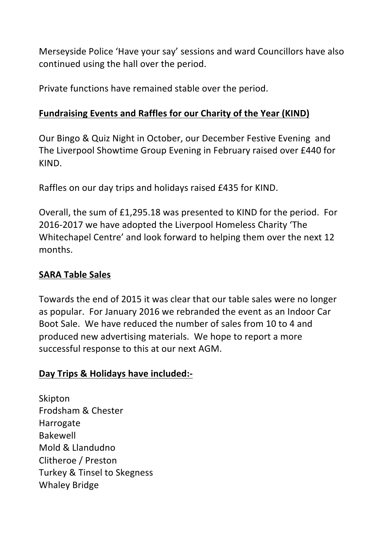Merseyside Police 'Have your say' sessions and ward Councillors have also continued using the hall over the period.

Private functions have remained stable over the period.

#### **Fundraising Events and Raffles for our Charity of the Year (KIND)**

Our Bingo & Quiz Night in October, our December Festive Evening and The Liverpool Showtime Group Evening in February raised over £440 for KIND.

Raffles on our day trips and holidays raised £435 for KIND.

Overall, the sum of £1,295.18 was presented to KIND for the period. For 2016-2017 we have adopted the Liverpool Homeless Charity 'The Whitechapel Centre' and look forward to helping them over the next 12 months. 

# **SARA Table Sales**

Towards the end of 2015 it was clear that our table sales were no longer as popular. For January 2016 we rebranded the event as an Indoor Car Boot Sale. We have reduced the number of sales from 10 to 4 and produced new advertising materials. We hope to report a more successful response to this at our next AGM.

# **Day Trips & Holidays have included:-**

Skipton Frodsham & Chester Harrogate Bakewell Mold & Llandudno Clitheroe / Preston Turkey & Tinsel to Skegness Whaley Bridge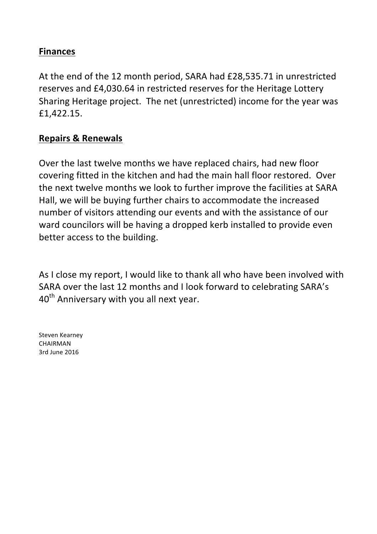#### **Finances**

At the end of the 12 month period, SARA had £28,535.71 in unrestricted reserves and £4,030.64 in restricted reserves for the Heritage Lottery Sharing Heritage project. The net (unrestricted) income for the year was £1,422.15. 

#### **Repairs & Renewals**

Over the last twelve months we have replaced chairs, had new floor covering fitted in the kitchen and had the main hall floor restored. Over the next twelve months we look to further improve the facilities at SARA Hall, we will be buying further chairs to accommodate the increased number of visitors attending our events and with the assistance of our ward councilors will be having a dropped kerb installed to provide even better access to the building.

As I close my report, I would like to thank all who have been involved with SARA over the last 12 months and I look forward to celebrating SARA's  $40<sup>th</sup>$  Anniversary with you all next year.

Steven Kearney CHAIRMAN 3rd June 2016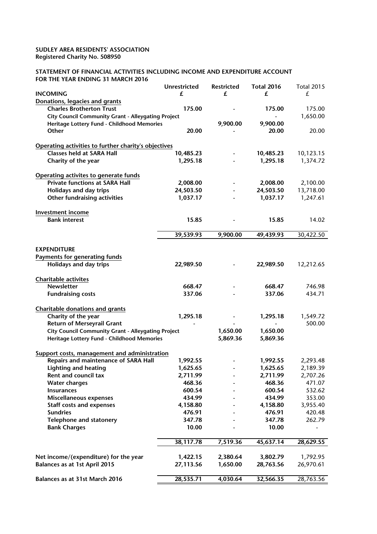#### SUDLEY AREA RESIDENTS' ASSOCIATION Registered Charity No. 508950

#### STATEMENT OF FINANCIAL ACTIVITIES INCLUDING INCOME AND EXPENDITURE ACCOUNT FOR THE YEAR ENDING 31 MARCH 2016

|                                                                                          | <b>Unrestricted</b> | <b>Restricted</b>            | <b>Total 2016</b>     | <b>Total 2015</b> |
|------------------------------------------------------------------------------------------|---------------------|------------------------------|-----------------------|-------------------|
| <b>INCOMING</b>                                                                          | £                   | £                            | £                     | £                 |
| Donations, legacies and grants                                                           |                     |                              |                       |                   |
| <b>Charles Brotherton Trust</b>                                                          | 175.00              |                              | 175.00                | 175.00            |
| <b>City Council Community Grant - Alleygating Project</b>                                |                     |                              |                       | 1,650.00          |
| Heritage Lottery Fund - Childhood Memories                                               |                     | 9,900.00                     | 9,900.00              |                   |
| Other                                                                                    | 20.00               |                              | 20.00                 | 20.00             |
|                                                                                          |                     |                              |                       |                   |
| Operating activities to further charity's objectives<br><b>Classes held at SARA Hall</b> |                     |                              |                       |                   |
|                                                                                          | 10,485.23           |                              | 10,485.23<br>1,295.18 | 10,123.15         |
| Charity of the year                                                                      | 1,295.18            |                              |                       | 1,374.72          |
| Operating activites to generate funds                                                    |                     |                              |                       |                   |
| <b>Private functions at SARA Hall</b>                                                    | 2,008.00            |                              | 2,008.00              | 2,100.00          |
| Holidays and day trips                                                                   | 24,503.50           |                              | 24,503.50             | 13,718.00         |
| Other fundraising activities                                                             | 1,037.17            |                              | 1,037.17              | 1,247.61          |
|                                                                                          |                     |                              |                       |                   |
| Investment income<br><b>Bank interest</b>                                                | 15.85               |                              | 15.85                 | 14.02             |
|                                                                                          |                     |                              |                       |                   |
|                                                                                          | 39,539.93           | 9,900.00                     | 49,439.93             | 30,422.50         |
|                                                                                          |                     |                              |                       |                   |
| <b>EXPENDITURE</b>                                                                       |                     |                              |                       |                   |
| <b>Payments for generating funds</b><br>Holidays and day trips                           | 22,989.50           |                              |                       |                   |
|                                                                                          |                     |                              | 22,989.50             | 12,212.65         |
| Charitable activites                                                                     |                     |                              |                       |                   |
| <b>Newsletter</b>                                                                        | 668.47              |                              | 668.47                | 746.98            |
| <b>Fundraising costs</b>                                                                 | 337.06              |                              | 337.06                | 434.71            |
|                                                                                          |                     |                              |                       |                   |
| <b>Charitable donations and grants</b><br>Charity of the year                            | 1,295.18            |                              | 1,295.18              | 1,549.72          |
| <b>Return of Merseyrail Grant</b>                                                        |                     |                              |                       | 500.00            |
| <b>City Council Community Grant - Alleygating Project</b>                                |                     | 1,650.00                     | 1,650.00              |                   |
| Heritage Lottery Fund - Childhood Memories                                               |                     | 5,869.36                     | 5,869.36              |                   |
|                                                                                          |                     |                              |                       |                   |
| Support costs, management and administration                                             |                     |                              |                       |                   |
| Repairs and maintenance of SARA Hall                                                     | 1,992.55            |                              | 1,992.55              | 2,293.48          |
| <b>Lighting and heating</b>                                                              | 1,625.65            | $\qquad \qquad \blacksquare$ | 1,625.65              | 2,189.39          |
| <b>Rent and council tax</b>                                                              | 2,711.99            |                              | 2,711.99              | 2,707.26          |
| <b>Water charges</b>                                                                     | 468.36              |                              | 468.36                | 471.07            |
| <b>Insurances</b>                                                                        | 600.54              |                              | 600.54                | 532.62            |
| Miscellaneous expenses                                                                   | 434.99              |                              | 434.99                | 353.00            |
| <b>Staff costs and expenses</b>                                                          | 4,158.80            |                              | 4,158.80              | 3,955.40          |
| <b>Sundries</b>                                                                          | 476.91              |                              | 476.91                | 420.48            |
| <b>Telephone and statonery</b>                                                           | 347.78              |                              | 347.78                | 262.79            |
| <b>Bank Charges</b>                                                                      | 10.00               |                              | 10.00                 |                   |
|                                                                                          | 38,117.78           | 7,519.36                     | 45,637.14             | 28,629.55         |
|                                                                                          |                     |                              |                       |                   |
| Net income/(expenditure) for the year                                                    | 1,422.15            | 2,380.64                     | 3,802.79              | 1,792.95          |
| Balances as at 1st April 2015                                                            | 27,113.56           | 1,650.00                     | 28,763.56             | 26,970.61         |
| Balances as at 31st March 2016                                                           | 28,535.71           | 4,030.64                     | 32,566.35             | 28,763.56         |
|                                                                                          |                     |                              |                       |                   |